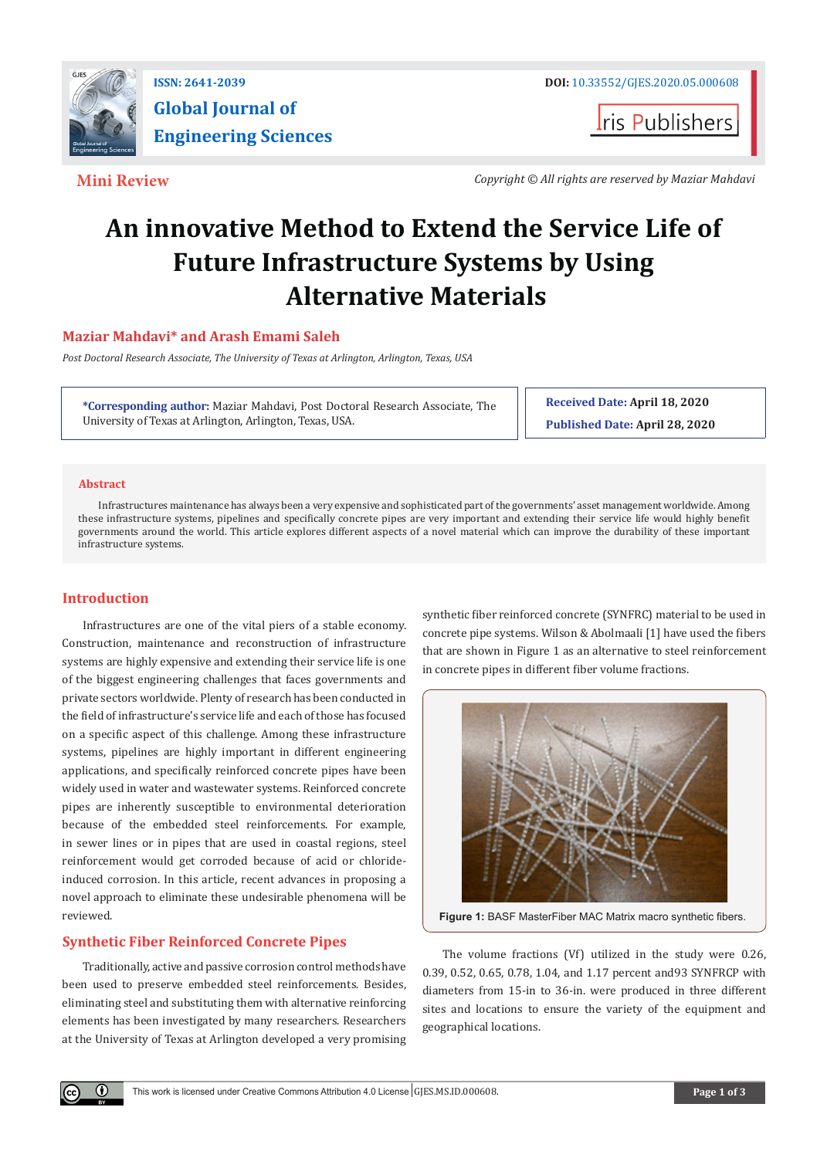

**ISSN: 2641-2039 DOI:** [10.33552/GJES.2020.05.000608](http://dx.doi.org/10.33552/GJES.2020.05.000608)

**I**ris Publishers

 **Mini Review** *Copyright © All rights are reserved by Maziar Mahdavi*

# **An innovative Method to Extend the Service Life of Future Infrastructure Systems by Using Alternative Materials**

# **Maziar Mahdavi\* and Arash Emami Saleh**

*Post Doctoral Research Associate, The University of Texas at Arlington, Arlington, Texas, USA*

**\*Corresponding author:** Maziar Mahdavi, Post Doctoral Research Associate, The University of Texas at Arlington, Arlington, Texas, USA.

**Received Date: April 18, 2020 Published Date: April 28, 2020**

## **Abstract**

Infrastructures maintenance has always been a very expensive and sophisticated part of the governments' asset management worldwide. Among these infrastructure systems, pipelines and specifically concrete pipes are very important and extending their service life would highly benefit governments around the world. This article explores different aspects of a novel material which can improve the durability of these important infrastructure systems.

# **Introduction**

 $\left( \mathbf{r} \right)$ 

Infrastructures are one of the vital piers of a stable economy. Construction, maintenance and reconstruction of infrastructure systems are highly expensive and extending their service life is one of the biggest engineering challenges that faces governments and private sectors worldwide. Plenty of research has been conducted in the field of infrastructure's service life and each of those has focused on a specific aspect of this challenge. Among these infrastructure systems, pipelines are highly important in different engineering applications, and specifically reinforced concrete pipes have been widely used in water and wastewater systems. Reinforced concrete pipes are inherently susceptible to environmental deterioration because of the embedded steel reinforcements. For example, in sewer lines or in pipes that are used in coastal regions, steel reinforcement would get corroded because of acid or chlorideinduced corrosion. In this article, recent advances in proposing a novel approach to eliminate these undesirable phenomena will be reviewed.

# **Synthetic Fiber Reinforced Concrete Pipes**

Traditionally, active and passive corrosion control methods have been used to preserve embedded steel reinforcements. Besides, eliminating steel and substituting them with alternative reinforcing elements has been investigated by many researchers. Researchers at the University of Texas at Arlington developed a very promising synthetic fiber reinforced concrete (SYNFRC) material to be used in concrete pipe systems. Wilson & Abolmaali [1] have used the fibers that are shown in Figure 1 as an alternative to steel reinforcement in concrete pipes in different fiber volume fractions.





The volume fractions (Vf) utilized in the study were 0.26, 0.39, 0.52, 0.65, 0.78, 1.04, and 1.17 percent and93 SYNFRCP with diameters from 15-in to 36-in. were produced in three different sites and locations to ensure the variety of the equipment and geographical locations.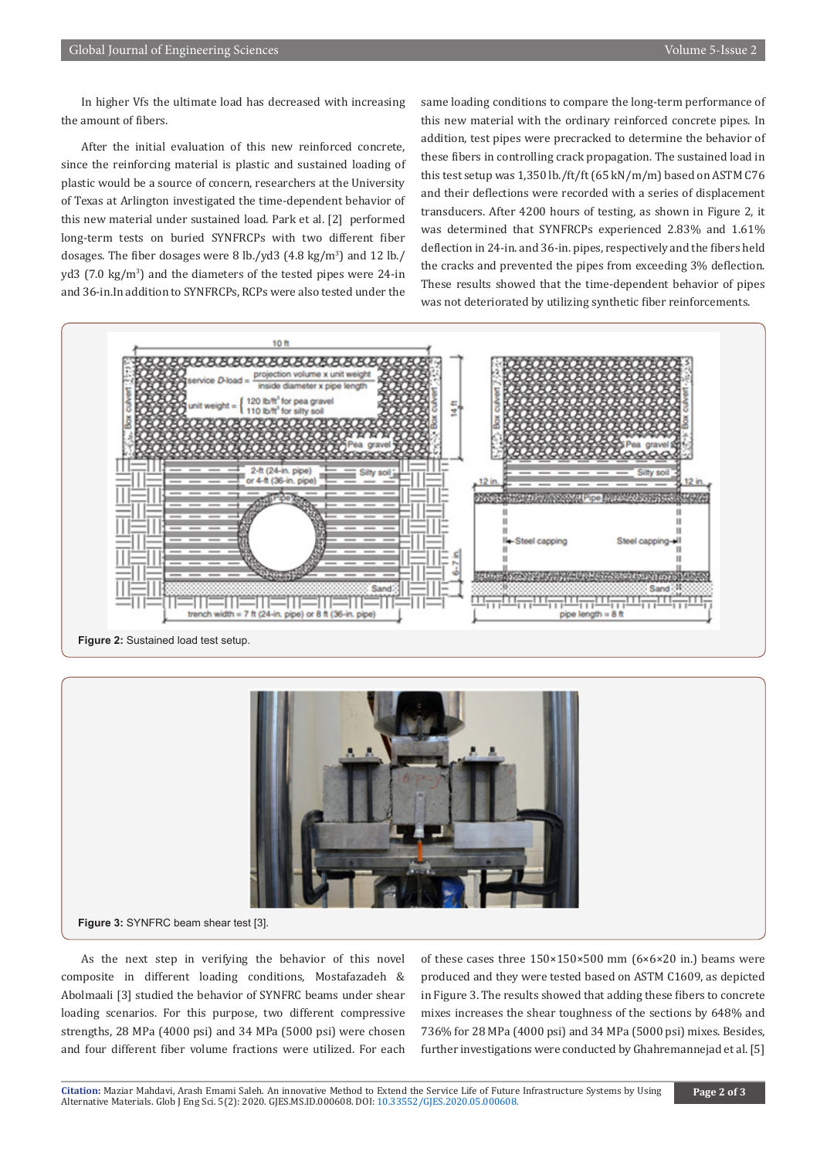In higher Vfs the ultimate load has decreased with increasing the amount of fibers.

After the initial evaluation of this new reinforced concrete, since the reinforcing material is plastic and sustained loading of plastic would be a source of concern, researchers at the University of Texas at Arlington investigated the time-dependent behavior of this new material under sustained load. Park et al. [2] performed long-term tests on buried SYNFRCPs with two different fiber dosages. The fiber dosages were 8 lb./yd3 (4.8 kg/m<sup>3</sup>) and 12 lb./ yd3 (7.0 kg/m<sup>3</sup>) and the diameters of the tested pipes were 24-in and 36-in.In addition to SYNFRCPs, RCPs were also tested under the same loading conditions to compare the long-term performance of this new material with the ordinary reinforced concrete pipes. In addition, test pipes were precracked to determine the behavior of these fibers in controlling crack propagation. The sustained load in this test setup was 1,350 lb./ft/ft (65 kN/m/m) based on ASTM C76 and their deflections were recorded with a series of displacement transducers. After 4200 hours of testing, as shown in Figure 2, it was determined that SYNFRCPs experienced 2.83% and 1.61% deflection in 24-in. and 36-in. pipes, respectively and the fibers held the cracks and prevented the pipes from exceeding 3% deflection. These results showed that the time-dependent behavior of pipes was not deteriorated by utilizing synthetic fiber reinforcements.





**Figure 3:** SYNFRC beam shear test [3].

As the next step in verifying the behavior of this novel composite in different loading conditions, Mostafazadeh & Abolmaali [3] studied the behavior of SYNFRC beams under shear loading scenarios. For this purpose, two different compressive strengths, 28 MPa (4000 psi) and 34 MPa (5000 psi) were chosen and four different fiber volume fractions were utilized. For each of these cases three 150×150×500 mm (6×6×20 in.) beams were produced and they were tested based on ASTM C1609, as depicted in Figure 3. The results showed that adding these fibers to concrete mixes increases the shear toughness of the sections by 648% and 736% for 28 MPa (4000 psi) and 34 MPa (5000 psi) mixes. Besides, further investigations were conducted by Ghahremannejad et al. [5]